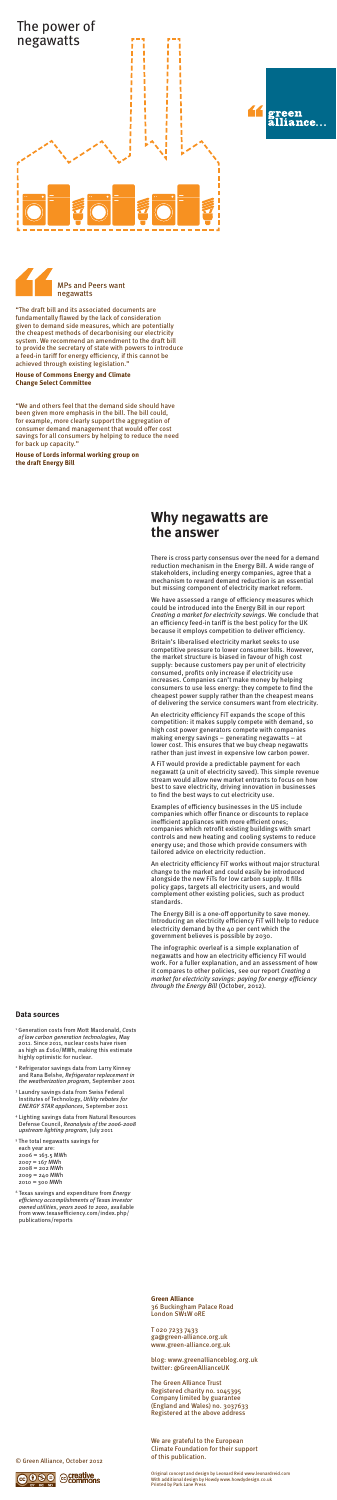- <sup>1</sup> Generation costs from Mott Macdonald, *Costs of low carbon generation technologies*, May 2011. Since 2011, nuclear costs have risen as high as £160/MWh, making this estimate highly optimistic for nuclear.
- <sup>2</sup> Refrigerator savings data from Larry Kinney and Rana Belshe, *Refrigerator replacement in the weatherization program*, September 2001
- <sup>3</sup> Laundry savings data from Swiss Federal Institutes of Technology, *Utility rebates for ENERGY STAR appliances*, September 2011
- <sup>4</sup> Lighting savings data from Natural Resources Defense Council, *Reanalysis of the 2006-2008 upstream lighting program*, July 2011
- <sup>5</sup> The total negawatts savings for
- each year are: 2006 = 163.5 MWh 2007 = 167 MWh  $2008 = 202$  MWh 2009 = 240 MWh 2010 = 300 MWh
- <sup>6</sup> Texas savings and expenditure from *Energy efficiency accomplishments of Texas investor owned utilities*, *years 2006 to 2010*, available from www.texasefficiency.com/index.php/ publications/reports

There is cross party consensus over the need for a demand reduction mechanism in the Energy Bill. A wide range of stakeholders, including energy companies, agree that a mechanism to reward demand reduction is an essential but missing component of electricity market reform.

We have assessed a range of efficiency measures which could be introduced into the Energy Bill in our report *Creating a market for electricity savings*. We conclude that an efficiency feed-in tariff is the best policy for the UK because it employs competition to deliver efficiency.

Britain's liberalised electricity market seeks to use competitive pressure to lower consumer bills. However, the market structure is biased in favour of high cost supply: because customers pay per unit of electricity consumed, profits only increase if electricity use increases. Companies can't make money by helping consumers to use less energy: they compete to find the cheapest power supply rather than the cheapest means of delivering the service consumers want from electricity.

An electricity efficiency FiT expands the scope of this

competition: it makes supply compete with demand, so high cost power generators compete with companies making energy savings – generating negawatts – at lower cost. This ensures that we buy cheap negawatts rather than just invest in expensive low carbon power.

A FiT would provide a predictable payment for each negawatt (a unit of electricity saved). This simple revenue stream would allow new market entrants to focus on how best to save electricity, driving innovation in businesses to find the best ways to cut electricity use.

The Green Alliance Trust Registered charity no. 1045395 Company limited by guarantee (England and Wales) no. 3037633 Registered at the above address

Examples of efficiency businesses in the US include companies which offer finance or discounts to replace inefficient appliances with more efficient ones; companies which retrofit existing buildings with smart controls and new heating and cooling systems to reduce energy use; and those which provide consumers with tailored advice on electricity reduction.

An electricity efficiency FiT works without major structural change to the market and could easily be introduced alongside the new FiTs for low carbon supply. It fills policy gaps, targets all electricity users, and would complement other existing policies, such as product standards.

The Energy Bill is a one-off opportunity to save money. Introducing an electricity efficiency FiT will help to reduce electricity demand by the 40 per cent which the government believes is possible by 2030.

The infographic overleaf is a simple explanation of negawatts and how an electricity efficiency FiT would work. For a fuller explanation, and an assessment of how it compares to other policies, see our report *Creating a market for electricity savings: paying for energy efficiency through the Energy Bill* (October, 2012).

## **Why negawatts are the answer**

#### **Data sources**

"The draft bill and its associated documents are fundamentally flawed by the lack of consideration given to demand side measures, which are potentially the cheapest methods of decarbonising our electricity system. We recommend an amendment to the draft bill to provide the secretary of state with powers to introduce a feed-in tariff for energy efficiency, if this cannot be achieved through existing legislation."

**House of Commons Energy and Climate Change Select Committee**

"We and others feel that the demand side should have been given more emphasis in the bill. The bill could, for example, more clearly support the aggregation of consumer demand management that would offer cost savings for all consumers by helping to reduce the need for back up capacity."

**House of Lords informal working group on the draft Energy Bill**







**Green Alliance**  36 Buckingham Palace Road London SW1W 0RE

T 020 7233 7433 ga@green-alliance.org.uk www.green-alliance.org.uk

blog: www.greenallianceblog.org.uk twitter: @GreenAllianceUK

We are grateful to the European

### Climate Foundation for their support of this publication.

### Original concept and design by Leonard Reid www.leonardreid.com With additional design by Howdy www.howdydesign.co.uk Printed by Park Lane Press

#### © Green Alliance, October 2012